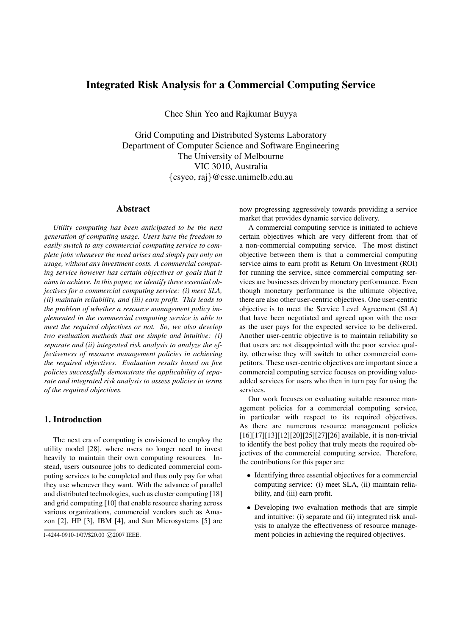# **Integrated Risk Analysis for a Commercial Computing Service**

Chee Shin Yeo and Rajkumar Buyya

Grid Computing and Distributed Systems Laboratory Department of Computer Science and Software Engineering The University of Melbourne VIC 3010, Australia {csyeo, raj}@csse.unimelb.edu.au

## **Abstract**

*Utility computing has been anticipated to be the next generation of computing usage. Users have the freedom to easily switch to any commercial computing service to complete jobs whenever the need arises and simply pay only on usage, without any investment costs. A commercial computing service however has certain objectives or goals that it aims to achieve. In this paper, we identify three essential objectives for a commercial computing service: (i) meet SLA, (ii) maintain reliability, and (iii) earn profit. This leads to the problem of whether a resource management policy implemented in the commercial computing service is able to meet the required objectives or not. So, we also develop two evaluation methods that are simple and intuitive: (i) separate and (ii) integrated risk analysis to analyze the effectiveness of resource management policies in achieving the required objectives. Evaluation results based on five policies successfully demonstrate the applicability of separate and integrated risk analysis to assess policies in terms of the required objectives.*

## **1. Introduction**

The next era of computing is envisioned to employ the utility model [28], where users no longer need to invest heavily to maintain their own computing resources. Instead, users outsource jobs to dedicated commercial computing services to be completed and thus only pay for what they use whenever they want. With the advance of parallel and distributed technologies, such as cluster computing  $[18]$ and grid computing [10] that enable resource sharing across various organizations, commercial vendors such as Amazon [2], HP [3], IBM [4], and Sun Microsystems [5] are now progressing aggressively towards providing a service market that provides dynamic service delivery.

A commercial computing service is initiated to achieve certain objectives which are very different from that of a non-commercial computing service. The most distinct objective between them is that a commercial computing service aims to earn profit as Return On Investment (ROI) for running the service, since commercial computing services are businesses driven by monetary performance. Even though monetary performance is the ultimate objective, there are also other user-centric objectives. One user-centric objective is to meet the Service Level Agreement (SLA) that have been negotiated and agreed upon with the user as the user pays for the expected service to be delivered. Another user-centric objective is to maintain reliability so that users are not disappointed with the poor service quality, otherwise they will switch to other commercial competitors. These user-centric objectives are important since a commercial computing service focuses on providing valueadded services for users who then in turn pay for using the services.

Our work focuses on evaluating suitable resource management policies for a commercial computing service, in particular with respect to its required objectives. As there are numerous resource management policies [16][17][13][12][20][25][27][26] available, it is non-trivial to identify the best policy that truly meets the required objectives of the commercial computing service. Therefore, the contributions for this paper are:

- Identifying three essential objectives for a commercial computing service: (i) meet SLA, (ii) maintain reliability, and (iii) earn profit.
- Developing two evaluation methods that are simple and intuitive: (i) separate and (ii) integrated risk analysis to analyze the effectiveness of resource management policies in achieving the required objectives.

<sup>1-4244-0910-1/07/\$20.00 © 2007</sup> IEEE.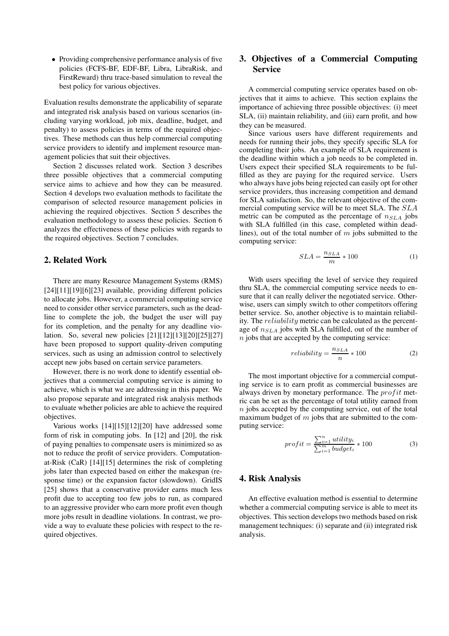• Providing comprehensive performance analysis of five policies (FCFS-BF, EDF-BF, Libra, LibraRisk, and FirstReward) thru trace-based simulation to reveal the best policy for various objectives.

Evaluation results demonstrate the applicability of separate and integrated risk analysis based on various scenarios (including varying workload, job mix, deadline, budget, and penalty) to assess policies in terms of the required objectives. These methods can thus help commercial computing service providers to identify and implement resource management policies that suit their objectives.

Section 2 discusses related work. Section 3 describes three possible objectives that a commercial computing service aims to achieve and how they can be measured. Section 4 develops two evaluation methods to facilitate the comparison of selected resource management policies in achieving the required objectives. Section 5 describes the evaluation methodology to assess these policies. Section 6 analyzes the effectiveness of these policies with regards to the required objectives. Section 7 concludes.

## **2. Related Work**

There are many Resource Management Systems (RMS) [24][11][19][6][23] available, providing different policies to allocate jobs. However, a commercial computing service need to consider other service parameters, such as the deadline to complete the job, the budget the user will pay for its completion, and the penalty for any deadline violation. So, several new policies [21][12][13][20][25][27] have been proposed to support quality-driven computing services, such as using an admission control to selectively accept new jobs based on certain service parameters.

However, there is no work done to identify essential objectives that a commercial computing service is aiming to achieve, which is what we are addressing in this paper. We also propose separate and integrated risk analysis methods to evaluate whether policies are able to achieve the required objectives.

Various works [14][15][12][20] have addressed some form of risk in computing jobs. In [12] and [20], the risk of paying penalties to compensate users is minimized so as not to reduce the profit of service providers. Computationat-Risk (CaR) [14][15] determines the risk of completing jobs later than expected based on either the makespan (response time) or the expansion factor (slowdown). GridIS [25] shows that a conservative provider earns much less profit due to accepting too few jobs to run, as compared to an aggressive provider who earn more profit even though more jobs result in deadline violations. In contrast, we provide a way to evaluate these policies with respect to the required objectives.

## **3. Objectives of a Commercial Computing Service**

A commercial computing service operates based on objectives that it aims to achieve. This section explains the importance of achieving three possible objectives: (i) meet SLA, (ii) maintain reliability, and (iii) earn profit, and how they can be measured.

Since various users have different requirements and needs for running their jobs, they specify specific SLA for completing their jobs. An example of SLA requirement is the deadline within which a job needs to be completed in. Users expect their specified SLA requirements to be fulfilled as they are paying for the required service. Users who always have jobs being rejected can easily opt for other service providers, thus increasing competition and demand for SLA satisfaction. So, the relevant objective of the commercial computing service will be to meet SLA. The SLA metric can be computed as the percentage of  $n_{SLA}$  jobs with SLA fulfilled (in this case, completed within deadlines), out of the total number of  $m$  jobs submitted to the computing service:

$$
SLA = \frac{n_{SLA}}{m} * 100\tag{1}
$$

With users specifing the level of service they required thru SLA, the commercial computing service needs to ensure that it can really deliver the negotiated service. Otherwise, users can simply switch to other competitors offering better service. So, another objective is to maintain reliability. The reliability metric can be calculated as the percentage of  $n_{SLA}$  jobs with SLA fulfilled, out of the number of  $n$  jobs that are accepted by the computing service:

$$
reliability = \frac{n_{SLA}}{n} * 100\tag{2}
$$

The most important objective for a commercial computing service is to earn profit as commercial businesses are always driven by monetary performance. The  $profit$  metric can be set as the percentage of total utility earned from  $n$  jobs accepted by the computing service, out of the total maximum budget of  $m$  jobs that are submitted to the computing service:

$$
profit = \frac{\sum_{i=1}^{n} utility_i}{\sum_{i=1}^{m} budget_i} * 100
$$
 (3)

### **4. Risk Analysis**

An effective evaluation method is essential to determine whether a commercial computing service is able to meet its objectives. This section developstwo methods based on risk management techniques: (i) separate and (ii) integrated risk analysis.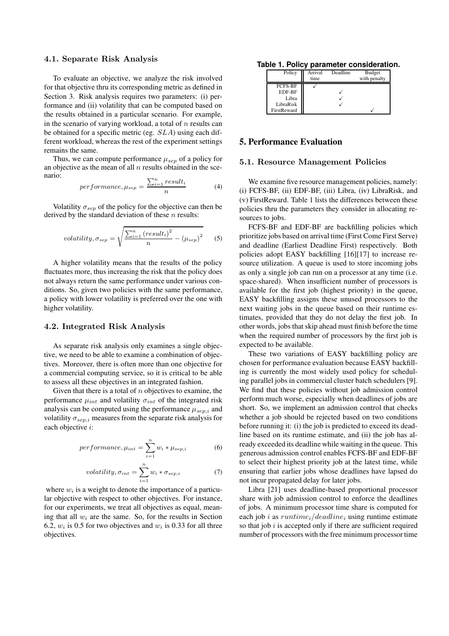#### 4.1. Separate Risk Analysis

To evaluate an objective, we analyze the risk involved for that objective thru its corresponding metric as defined in Section 3. Risk analysis requires two parameters: (i) performance and (ii) volatility that can be computed based on the results obtained in a particular scenario. For example, in the scenario of varying workload, a total of  $n$  results can be obtained for a specific metric (eg. SLA) using each different workload, whereas the rest of the experiment settings remains the same.

Thus, we can compute performance  $\mu_{sep}$  of a policy for an objective as the mean of all  $n$  results obtained in the scenario:

$$
performance, \mu_{sep} = \frac{\sum_{i=1}^{n} result_i}{n}
$$
 (4)

Volatility  $\sigma_{sep}$  of the policy for the objective can then be derived by the standard deviation of these  $n$  results:

$$
volatility, \sigma_{sep} = \sqrt{\frac{\sum_{i=1}^{n} (result_i)^2}{n} - (\mu_{sep})^2}
$$
 (5)

A higher volatility means that the results of the policy fluctuates more, thus increasing the risk that the policy does not always return the same performance under various conditions. So, given two policies with the same performance, a policy with lower volatility is preferred over the one with higher volatility.

### 4.2. Integrated Risk Analysis

As separate risk analysis only examines a single objective, we need to be able to examine a combination of objectives. Moreover, there is often more than one objective for a commercial computing service, so it is critical to be able to assess all these objectives in an integrated fashion.

Given that there is a total of  $n$  objectives to examine, the performance  $\mu_{int}$  and volatility  $\sigma_{int}$  of the integrated risk analysis can be computed using the performance  $\mu_{sep,i}$  and volatility  $\sigma_{sep,i}$  measures from the separate risk analysis for each objective i:

$$
performance, \mu_{int} = \sum_{i=1}^{n} w_i * \mu_{sep,i}
$$
 (6)

$$
volatility, \sigma_{int} = \sum_{i=1}^{n} w_i * \sigma_{sep,i}
$$
 (7)

where  $w_i$  is a weight to denote the importance of a particular objective with respect to other objectives. For instance, for our experiments, we treat all objectives as equal, meaning that all  $w_i$  are the same. So, for the results in Section 6.2,  $w_i$  is 0.5 for two objectives and  $w_i$  is 0.33 for all three objectives.

| Policy                   | Arrival<br>time | Deadline | <b>Budget</b><br>with penalty |
|--------------------------|-----------------|----------|-------------------------------|
| <b>FCFS-BF</b><br>EDF-BF |                 |          |                               |
| Libra                    |                 |          |                               |
| LibraRisk<br>FirstReward |                 |          |                               |

### **5. Performance Evaluation**

#### 5.1. Resource Management Policies

We examine five resource management policies, namely: (i) FCFS-BF, (ii) EDF-BF, (iii) Libra, (iv) LibraRisk, and (v) FirstReward. Table 1 lists the differences between these policies thru the parameters they consider in allocating resources to jobs.

FCFS-BF and EDF-BF are backfilling policies which prioritize jobs based on arrival time (First Come First Serve) and deadline (Earliest Deadline First) respectively. Both policies adopt EASY backfilling [16][17] to increase resource utilization. A queue is used to store incoming jobs as only a single job can run on a processor at any time (i.e. space-shared). When insufficient number of processors is available for the first job (highest priority) in the queue, EASY backfilling assigns these unused processors to the next waiting jobs in the queue based on their runtime estimates, provided that they do not delay the first job. In other words, jobs that skip ahead must finish before the time when the required number of processors by the first job is expected to be available.

These two variations of EASY backfilling policy are chosen for performance evaluation because EASY backfilling is currently the most widely used policy for scheduling parallel jobs in commercial cluster batch schedulers [9]. We find that these policies without job admission control perform much worse, especially when deadlines of jobs are short. So, we implement an admission control that checks whether a job should be rejected based on two conditions before running it: (i) the job is predicted to exceed its deadline based on its runtime estimate, and (ii) the job has already exceeded its deadline while waiting in the queue. This generous admission control enables FCFS-BF and EDF-BF to select their highest priority job at the latest time, while ensuring that earlier jobs whose deadlines have lapsed do not incur propagated delay for later jobs.

Libra [21] uses deadline-based proportional processor share with job admission control to enforce the deadlines of jobs. A minimum processor time share is computed for each job i as  $runtime_i/deadline_i$  using runtime estimate so that job  $i$  is accepted only if there are sufficient required number of processors with the free minimum processor time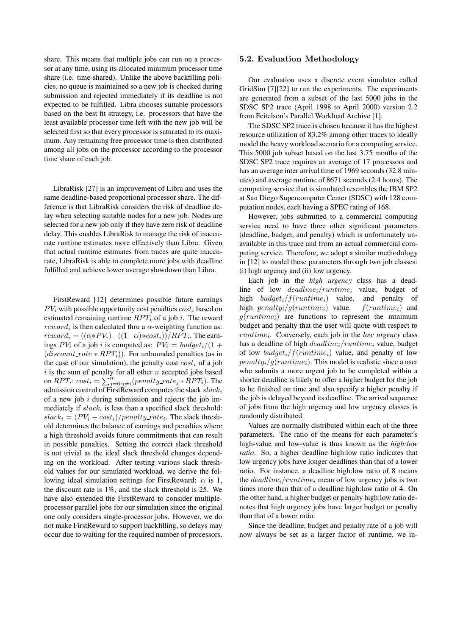share. This means that multiple jobs can run on a processor at any time, using its allocated minimum processor time share (i.e. time-shared). Unlike the above backfilling policies, no queue is maintained so a new job is checked during submission and rejected immediately if its deadline is not expected to be fulfilled. Libra chooses suitable processors based on the best fit strategy, i.e. processors that have the least available processor time left with the new job will be selected first so that every processor is saturated to its maximum. Any remaining free processor time is then distributed among all jobs on the processor according to the processor time share of each job.

LibraRisk [27] is an improvement of Libra and uses the same deadline-based proportional processor share. The difference is that LibraRisk considers the risk of deadline delay when selecting suitable nodes for a new job. Nodes are selected for a new job only if they have zero risk of deadline delay. This enables LibraRisk to manage the risk of inaccurate runtime estimates more effectively than Libra. Given that actual runtime estimates from traces are quite inaccurate, LibraRisk is able to complete more jobs with deadline fulfilled and achieve lower average slowdown than Libra.

FirstReward [12] determines possible future earnings  $PV<sub>i</sub>$  with possible opportunity cost penalties  $cost<sub>i</sub>$  based on estimated remaining runtime  $RPT_i$  of a job i. The reward *reward<sub>i</sub>* is then calculated thru a  $\alpha$ -weighting function as:  $reward_i = ((\alpha * PV_i) - ((1 - \alpha) * cost_i)) / RPT_i$ . The earnings  $PV_i$  of a job i is computed as:  $PV_i = budget_i/(1 +$  $(discount_rate * RPT<sub>i</sub>)$ ). For unbounded penalties (as in the case of our simulation), the penalty cost  $cost_i$  of a job  $i$  is the sum of penalty for all other  $n$  accepted jobs based on  $RPT_i$ :  $cost_i = \sum_{j=0; j\neq i}^{n} (penalty\_rate_j * RPT_i)$ . The admission control of FirstReward computes the slack  $slack<sub>i</sub>$ of a new job  $i$  during submission and rejects the job immediately if  $slack<sub>i</sub>$  is less than a specified slack threshold:  $slack_i = (PV_i - cost_i)/penalty_rate_i$ . The slack threshold determines the balance of earnings and penalties where a high threshold avoids future commitments that can result in possible penalties. Setting the correct slack threshold is not trivial as the ideal slack threshold changes depending on the workload. After testing various slack threshold values for our simulated workload, we derive the following ideal simulation settings for FirstReward:  $\alpha$  is 1, the discount rate is 1%, and the slack threshold is 25. We have also extended the FirstReward to consider multipleprocessor parallel jobs for our simulation since the original one only considers single-processor jobs. However, we do not make FirstReward to support backfilling, so delays may occur due to waiting for the required number of processors.

### 5.2. Evaluation Methodology

Our evaluation uses a discrete event simulator called GridSim [7][22] to run the experiments. The experiments are generated from a subset of the last 5000 jobs in the SDSC SP2 trace (April 1998 to April 2000) version 2.2 from Feitelson's Parallel Workload Archive [1].

The SDSC SP2 trace is chosen because it has the highest resource utilization of 83.2% among other traces to ideally model the heavy workload scenario for a computing service. This 5000 job subset based on the last 3.75 months of the SDSC SP2 trace requires an average of 17 processors and has an average inter arrival time of 1969 seconds (32.8 minutes) and average runtime of 8671 seconds (2.4 hours). The computing service that is simulated resembles the IBM SP2 at San Diego Supercomputer Center (SDSC) with 128 computation nodes, each having a SPEC rating of 168.

However, jobs submitted to a commercial computing service need to have three other significant parameters (deadline, budget, and penalty) which is unfortunately unavailable in this trace and from an actual commercial computing service. Therefore, we adopt a similar methodology in [12] to model these parameters through two job classes: (i) high urgency and (ii) low urgency.

Each job in the *high urgency* class has a deadline of low  $deadline_i/runtime_i$  value, budget of high  $budget_i/f(runtime_i)$  value, and penalty of high  $penalty_i/g(runtime_i)$  value.  $f(runtime_i)$  and  $g(runtime<sub>i</sub>)$  are functions to represent the minimum budget and penalty that the user will quote with respect to runtime<sup>i</sup> . Conversely, each job in the *low urgency* class has a deadline of high  $deadline_i$  /  $runtime_i$  value, budget of low  $budget_i/f(runtime_i)$  value, and penalty of low  $penalty_i/g(runtime_i)$ . This model is realistic since a user who submits a more urgent job to be completed within a shorter deadline is likely to offer a higher budget for the job to be finished on time and also specify a higher penalty if the job is delayed beyond its deadline. The arrival sequence of jobs from the high urgency and low urgency classes is randomly distributed.

Values are normally distributed within each of the three parameters. The ratio of the means for each parameter's high-value and low-value is thus known as the *high:low ratio*. So, a higher deadline high:low ratio indicates that low urgency jobs have longer deadlines than that of a lower ratio. For instance, a deadline high:low ratio of 8 means the  $deadline_i$ /*runtime<sub>i</sub>* mean of low urgency jobs is two times more than that of a deadline high:low ratio of 4. On the other hand, a higher budget or penalty high:low ratio denotes that high urgency jobs have larger budget or penalty than that of a lower ratio.

Since the deadline, budget and penalty rate of a job will now always be set as a larger factor of runtime, we in-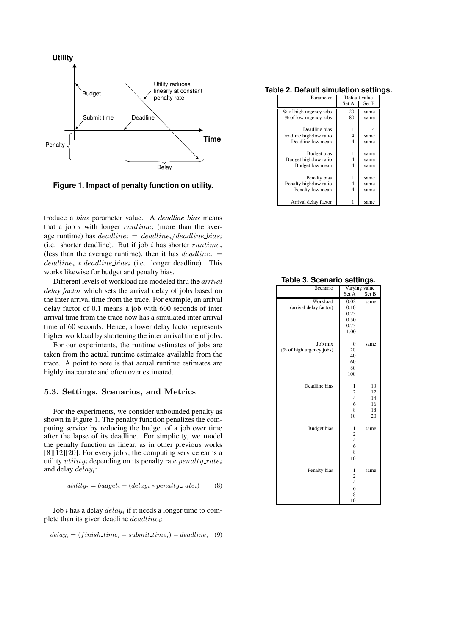

**Figure 1. Impact of penalty function on utility.**

troduce a *bias* parameter value. A *deadline bias* means that a job i with longer  $runtime_i$  (more than the average runtime) has  $deadline_i = deadline_i/deadline_j$ (i.e. shorter deadline). But if job i has shorter  $runtime<sub>i</sub>$ (less than the average runtime), then it has  $deadline_i$  =  $deadline_i * deadline bias_i$  (i.e. longer deadline). This works likewise for budget and penalty bias.

Different levels of workload are modeled thru the *arrival delay factor* which sets the arrival delay of jobs based on the inter arrival time from the trace. For example, an arrival delay factor of 0.1 means a job with 600 seconds of inter arrival time from the trace now has a simulated inter arrival time of 60 seconds. Hence, a lower delay factor represents higher workload by shortening the inter arrival time of jobs.

For our experiments, the runtime estimates of jobs are taken from the actual runtime estimates available from the trace. A point to note is that actual runtime estimates are highly inaccurate and often over estimated.

## 5.3. Settings, Scenarios, and Metrics

For the experiments, we consider unbounded penalty as shown in Figure 1. The penalty function penalizes the computing service by reducing the budget of a job over time after the lapse of its deadline. For simplicity, we model the penalty function as linear, as in other previous works  $[8][12][20]$ . For every job i, the computing service earns a utility *utility<sub>i</sub>* depending on its penalty rate *penalty rate<sub>i</sub>* and delay  $delay_i$ :

$$
utility_i = budget_i - (delay_i * penalty\_rate_i)
$$
 (8)

Job *i* has a delay  $delay_i$  if it needs a longer time to complete than its given deadline  $deadline_i$ :

$$
delay_i = (finish\_time_i - submit\_time_i) - deadline_i \quad (9)
$$

**Table 2. Default simulation settings.**

| Parameter                | Default value            |       |
|--------------------------|--------------------------|-------|
|                          | Set A                    | Set B |
| % of high urgency jobs   | 20                       | same  |
| % of low urgency jobs    | 80                       | same  |
|                          |                          |       |
| Deadline bias            | 1                        | 14    |
| Deadline high: low ratio | 4                        | same  |
| Deadline low mean        | $\overline{4}$           | same  |
|                          |                          |       |
| Budget bias              | 1                        | same  |
| Budget high: low ratio   | $\overline{\mathcal{L}}$ | same  |
| Budget low mean          | $\overline{4}$           | same  |
|                          |                          |       |
| Penalty bias             | 1                        | same  |
| Penalty high: low ratio  | 4                        | same  |
| Penalty low mean         | 4                        | same  |
|                          |                          |       |
| Arrival delay factor     |                          | same  |

**Table 3. Scenario settings.**

| Workload<br>0.02<br>same<br>(arrival delay factor)<br>0.10<br>0.25<br>0.50<br>0.75<br>1.00<br>Job mix<br>$\mathbf{0}$<br>same<br>(% of high urgency jobs)<br>20<br>40<br>60<br>80<br>100<br>Deadline bias<br>10<br>1<br>$\frac{2}{4}$<br>12<br>14<br>6<br>16<br>8<br>18<br>10<br>20<br><b>Budget</b> bias<br>1<br>same<br>$\frac{2}{4}$<br>6<br>8<br>10<br>Penalty bias<br>1<br>same<br>$\overline{\mathbf{c}}$<br>$\overline{4}$<br>6<br>8<br>10 | Scenario | Varying value |       |
|---------------------------------------------------------------------------------------------------------------------------------------------------------------------------------------------------------------------------------------------------------------------------------------------------------------------------------------------------------------------------------------------------------------------------------------------------|----------|---------------|-------|
|                                                                                                                                                                                                                                                                                                                                                                                                                                                   |          | Set A         | Set B |
|                                                                                                                                                                                                                                                                                                                                                                                                                                                   |          |               |       |
|                                                                                                                                                                                                                                                                                                                                                                                                                                                   |          |               |       |
|                                                                                                                                                                                                                                                                                                                                                                                                                                                   |          |               |       |
|                                                                                                                                                                                                                                                                                                                                                                                                                                                   |          |               |       |
|                                                                                                                                                                                                                                                                                                                                                                                                                                                   |          |               |       |
|                                                                                                                                                                                                                                                                                                                                                                                                                                                   |          |               |       |
|                                                                                                                                                                                                                                                                                                                                                                                                                                                   |          |               |       |
|                                                                                                                                                                                                                                                                                                                                                                                                                                                   |          |               |       |
|                                                                                                                                                                                                                                                                                                                                                                                                                                                   |          |               |       |
|                                                                                                                                                                                                                                                                                                                                                                                                                                                   |          |               |       |
|                                                                                                                                                                                                                                                                                                                                                                                                                                                   |          |               |       |
|                                                                                                                                                                                                                                                                                                                                                                                                                                                   |          |               |       |
|                                                                                                                                                                                                                                                                                                                                                                                                                                                   |          |               |       |
|                                                                                                                                                                                                                                                                                                                                                                                                                                                   |          |               |       |
|                                                                                                                                                                                                                                                                                                                                                                                                                                                   |          |               |       |
|                                                                                                                                                                                                                                                                                                                                                                                                                                                   |          |               |       |
|                                                                                                                                                                                                                                                                                                                                                                                                                                                   |          |               |       |
|                                                                                                                                                                                                                                                                                                                                                                                                                                                   |          |               |       |
|                                                                                                                                                                                                                                                                                                                                                                                                                                                   |          |               |       |
|                                                                                                                                                                                                                                                                                                                                                                                                                                                   |          |               |       |
|                                                                                                                                                                                                                                                                                                                                                                                                                                                   |          |               |       |
|                                                                                                                                                                                                                                                                                                                                                                                                                                                   |          |               |       |
|                                                                                                                                                                                                                                                                                                                                                                                                                                                   |          |               |       |
|                                                                                                                                                                                                                                                                                                                                                                                                                                                   |          |               |       |
|                                                                                                                                                                                                                                                                                                                                                                                                                                                   |          |               |       |
|                                                                                                                                                                                                                                                                                                                                                                                                                                                   |          |               |       |
|                                                                                                                                                                                                                                                                                                                                                                                                                                                   |          |               |       |
|                                                                                                                                                                                                                                                                                                                                                                                                                                                   |          |               |       |
|                                                                                                                                                                                                                                                                                                                                                                                                                                                   |          |               |       |
|                                                                                                                                                                                                                                                                                                                                                                                                                                                   |          |               |       |
|                                                                                                                                                                                                                                                                                                                                                                                                                                                   |          |               |       |
|                                                                                                                                                                                                                                                                                                                                                                                                                                                   |          |               |       |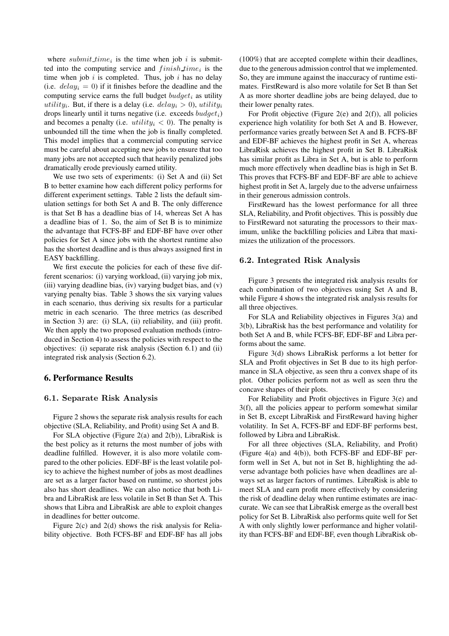where  $submit_time_i$  is the time when job i is submitted into the computing service and  $finish_time_i$  is the time when job  $i$  is completed. Thus, job  $i$  has no delay (i.e.  $delay_i = 0$ ) if it finishes before the deadline and the computing service earns the full budget  $budget_i$  as utility *utility<sub>i</sub>*. But, if there is a delay (i.e.  $delay_i > 0$ ), *utility<sub>i</sub>* drops linearly until it turns negative (i.e. exceeds  $budget_i)$ and becomes a penalty (i.e.  $utility_i < 0$ ). The penalty is unbounded till the time when the job is finally completed. This model implies that a commercial computing service must be careful about accepting new jobs to ensure that too many jobs are not accepted such that heavily penalized jobs dramatically erode previously earned utility.

We use two sets of experiments: (i) Set A and (ii) Set B to better examine how each different policy performs for different experiment settings. Table 2 lists the default simulation settings for both Set A and B. The only difference is that Set B has a deadline bias of 14, whereas Set A has a deadline bias of 1. So, the aim of Set B is to minimize the advantage that FCFS-BF and EDF-BF have over other policies for Set A since jobs with the shortest runtime also has the shortest deadline and is thus always assigned first in EASY backfilling.

We first execute the policies for each of these five different scenarios: (i) varying workload, (ii) varying job mix, (iii) varying deadline bias, (iv) varying budget bias, and (v) varying penalty bias. Table 3 shows the six varying values in each scenario, thus deriving six results for a particular metric in each scenario. The three metrics (as described in Section 3) are: (i) SLA, (ii) reliability, and (iii) profit. We then apply the two proposed evaluation methods (introduced in Section 4) to assess the policies with respect to the objectives: (i) separate risk analysis (Section 6.1) and (ii) integrated risk analysis (Section 6.2).

## **6. Performance Results**

#### 6.1. Separate Risk Analysis

Figure 2 shows the separate risk analysis results for each objective (SLA, Reliability, and Profit) using Set A and B.

For SLA objective (Figure 2(a) and 2(b)), LibraRisk is the best policy as it returns the most number of jobs with deadline fulfilled. However, it is also more volatile compared to the other policies. EDF-BF is the least volatile policy to achieve the highest number of jobs as most deadlines are set as a larger factor based on runtime, so shortest jobs also has short deadlines. We can also notice that both Libra and LibraRisk are less volatile in Set B than Set A. This shows that Libra and LibraRisk are able to exploit changes in deadlines for better outcome.

Figure 2(c) and 2(d) shows the risk analysis for Reliability objective. Both FCFS-BF and EDF-BF has all jobs (100%) that are accepted complete within their deadlines, due to the generous admission control that we implemented. So, they are immune against the inaccuracy of runtime estimates. FirstReward is also more volatile for Set B than Set A as more shorter deadline jobs are being delayed, due to their lower penalty rates.

For Profit objective (Figure 2(e) and  $2(f)$ ), all policies experience high volatility for both Set A and B. However, performance varies greatly between Set A and B. FCFS-BF and EDF-BF achieves the highest profit in Set A, whereas LibraRisk achieves the highest profit in Set B. LibraRisk has similar profit as Libra in Set A, but is able to perform much more effectively when deadline bias is high in Set B. This proves that FCFS-BF and EDF-BF are able to achieve highest profit in Set A, largely due to the adverse unfairness in their generous admission controls.

FirstReward has the lowest performance for all three SLA, Reliability, and Profit objectives. This is possibly due to FirstReward not saturating the processors to their maximum, unlike the backfilling policies and Libra that maximizes the utilization of the processors.

#### 6.2. Integrated Risk Analysis

Figure 3 presents the integrated risk analysis results for each combination of two objectives using Set A and B, while Figure 4 shows the integrated risk analysis results for all three objectives.

For SLA and Reliability objectives in Figures 3(a) and 3(b), LibraRisk has the best performance and volatility for both Set A and B, while FCFS-BF, EDF-BF and Libra performs about the same.

Figure 3(d) shows LibraRisk performs a lot better for SLA and Profit objectives in Set B due to its high performance in SLA objective, as seen thru a convex shape of its plot. Other policies perform not as well as seen thru the concave shapes of their plots.

For Reliability and Profit objectives in Figure 3(e) and 3(f), all the policies appear to perform somewhat similar in Set B, except LibraRisk and FirstReward having higher volatility. In Set A, FCFS-BF and EDF-BF performs best, followed by Libra and LibraRisk.

For all three objectives (SLA, Reliability, and Profit) (Figure 4(a) and 4(b)), both FCFS-BF and EDF-BF perform well in Set A, but not in Set B, highlighting the adverse advantage both policies have when deadlines are always set as larger factors of runtimes. LibraRisk is able to meet SLA and earn profit more effectively by considering the risk of deadline delay when runtime estimates are inaccurate. We can see that LibraRisk emerge as the overall best policy for Set B. LibraRisk also performs quite well for Set A with only slightly lower performance and higher volatility than FCFS-BF and EDF-BF, even though LibraRisk ob-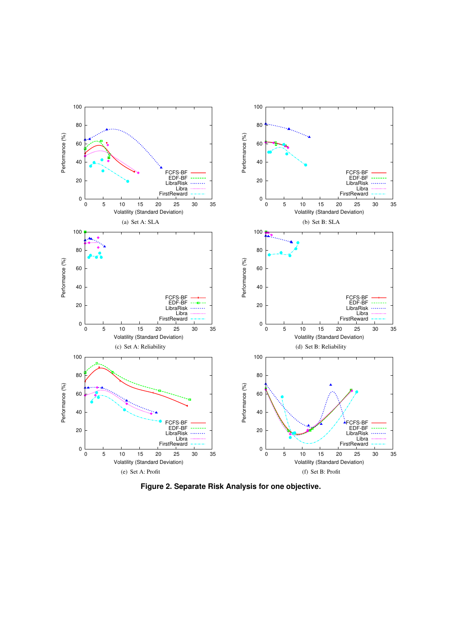

**Figure 2. Separate Risk Analysis for one objective.**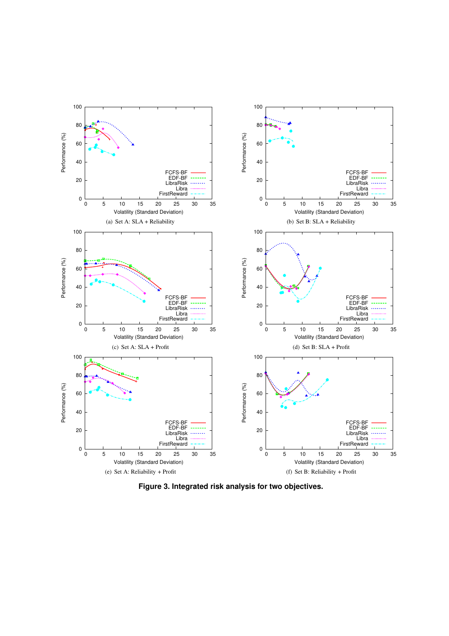

**Figure 3. Integrated risk analysis for two objectives.**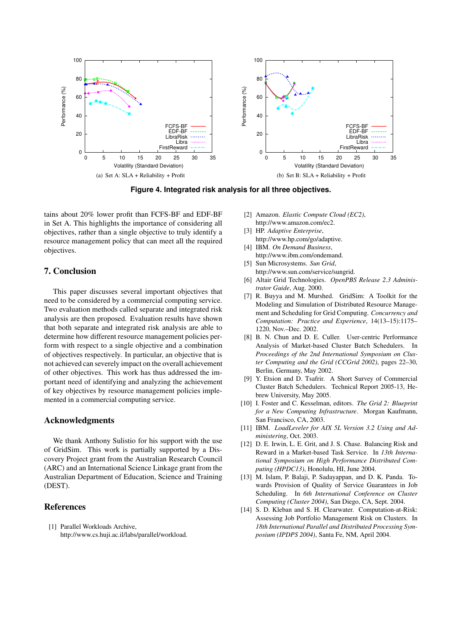

**Figure 4. Integrated risk analysis for all three objectives.**

tains about 20% lower profit than FCFS-BF and EDF-BF in Set A. This highlights the importance of considering all objectives, rather than a single objective to truly identify a resource management policy that can meet all the required objectives.

## **7. Conclusion**

This paper discusses several important objectives that need to be considered by a commercial computing service. Two evaluation methods called separate and integrated risk analysis are then proposed. Evaluation results have shown that both separate and integrated risk analysis are able to determine how different resource management policies perform with respect to a single objective and a combination of objectives respectively. In particular, an objective that is not achieved can severely impact on the overall achievement of other objectives. This work has thus addressed the important need of identifying and analyzing the achievement of key objectives by resource management policies implemented in a commercial computing service.

## **Acknowledgments**

We thank Anthony Sulistio for his support with the use of GridSim. This work is partially supported by a Discovery Project grant from the Australian Research Council (ARC) and an International Science Linkage grant from the Australian Department of Education, Science and Training (DEST).

## **References**

[1] Parallel Workloads Archive, http://www.cs.huji.ac.il/labs/parallel/workload.

- [2] Amazon. *Elastic Compute Cloud (EC2)*, http://www.amazon.com/ec2.
- [3] HP. *Adaptive Enterprise*, http://www.hp.com/go/adaptive.
- [4] IBM. *On Demand Business*, http://www.ibm.com/ondemand.
- [5] Sun Microsystems. *Sun Grid*, http://www.sun.com/service/sungrid.
- [6] Altair Grid Technologies. *OpenPBS Release 2.3 Administrator Guide*, Aug. 2000.
- [7] R. Buyya and M. Murshed. GridSim: A Toolkit for the Modeling and Simulation of Distributed Resource Management and Scheduling for Grid Computing. *Concurrency and Computation: Practice and Experience*, 14(13–15):1175– 1220, Nov.–Dec. 2002.
- [8] B. N. Chun and D. E. Culler. User-centric Performance Analysis of Market-based Cluster Batch Schedulers. In *Proceedings of the 2nd International Symposium on Cluster Computing and the Grid (CCGrid 2002)*, pages 22–30, Berlin, Germany, May 2002.
- [9] Y. Etsion and D. Tsafrir. A Short Survey of Commercial Cluster Batch Schedulers. Technical Report 2005-13, Hebrew University, May 2005.
- [10] I. Foster and C. Kesselman, editors. *The Grid 2: Blueprint for a New Computing Infrastructure*. Morgan Kaufmann, San Francisco, CA, 2003.
- [11] IBM. *LoadLeveler for AIX 5L Version 3.2 Using and Administering*, Oct. 2003.
- [12] D. E. Irwin, L. E. Grit, and J. S. Chase. Balancing Risk and Reward in a Market-based Task Service. In *13th International Symposium on High Performance Distributed Computing (HPDC13)*, Honolulu, HI, June 2004.
- [13] M. Islam, P. Balaji, P. Sadayappan, and D. K. Panda. Towards Provision of Quality of Service Guarantees in Job Scheduling. In *6th International Conference on Cluster Computing (Cluster 2004)*, San Diego, CA, Sept. 2004.
- [14] S. D. Kleban and S. H. Clearwater. Computation-at-Risk: Assessing Job Portfolio Management Risk on Clusters. In *18th International Parallel and Distributed Processing Symposium (IPDPS 2004)*, Santa Fe, NM, April 2004.